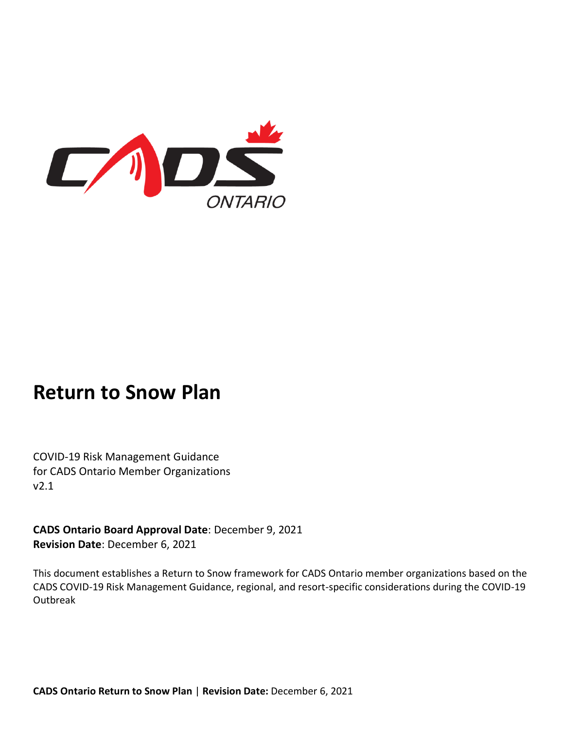

# **Return to Snow Plan**

COVID-19 Risk Management Guidance for CADS Ontario Member Organizations v2.1

**CADS Ontario Board Approval Date**: December 9, 2021 **Revision Date**: December 6, 2021

This document establishes a Return to Snow framework for CADS Ontario member organizations based on the CADS COVID-19 Risk Management Guidance, regional, and resort-specific considerations during the COVID-19 Outbreak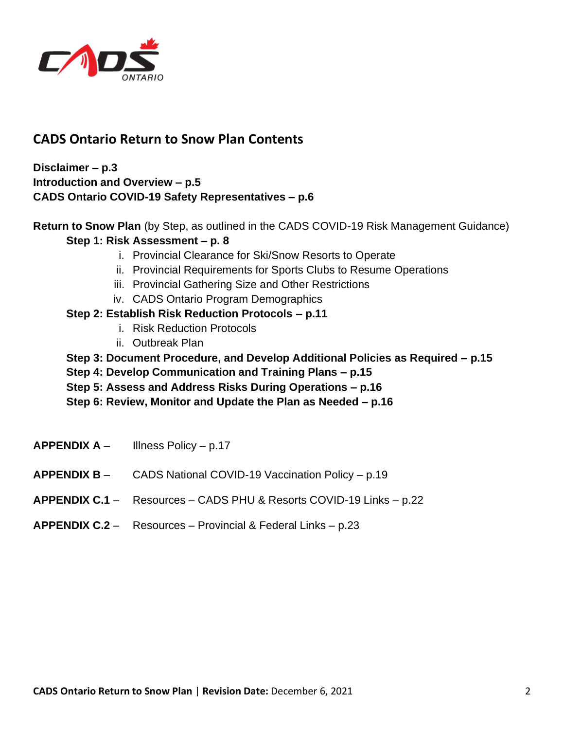

# **CADS Ontario Return to Snow Plan Contents**

**Disclaimer – p.3 Introduction and Overview – p.5 CADS Ontario COVID-19 Safety Representatives – p.6**

**Return to Snow Plan** (by Step, as outlined in the CADS COVID-19 Risk Management Guidance)

#### **Step 1: Risk Assessment – p. 8**

- i. Provincial Clearance for Ski/Snow Resorts to Operate
- ii. Provincial Requirements for Sports Clubs to Resume Operations
- iii. Provincial Gathering Size and Other Restrictions
- iv. CADS Ontario Program Demographics

## **Step 2: Establish Risk Reduction Protocols – p.11**

- i. Risk Reduction Protocols
- ii. Outbreak Plan
- **Step 3: Document Procedure, and Develop Additional Policies as Required – p.15**
- **Step 4: Develop Communication and Training Plans – p.15**
- **Step 5: Assess and Address Risks During Operations – p.16**
- **Step 6: Review, Monitor and Update the Plan as Needed – p.16**
- **APPENDIX A**  Illness Policy p.17
- **APPENDIX B**  CADS National COVID-19 Vaccination Policy p.19
- **APPENDIX C.1** Resources CADS PHU & Resorts COVID-19 Links p.22
- **APPENDIX C.2**  Resources Provincial & Federal Links p.23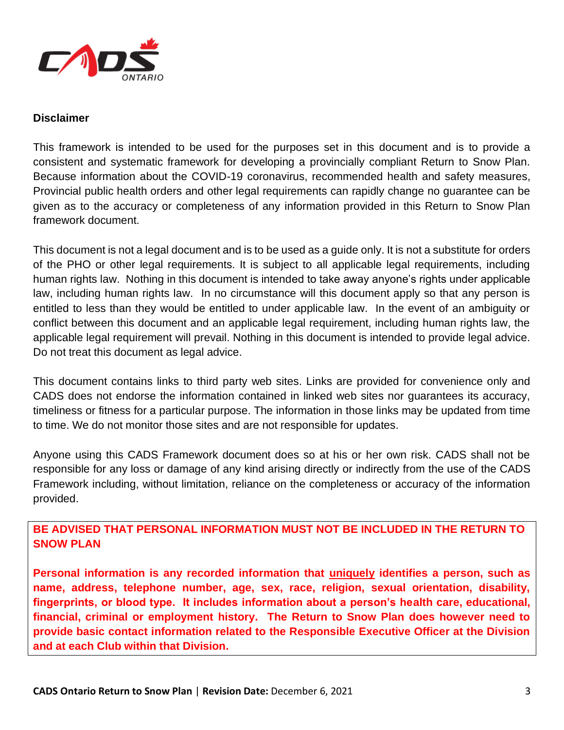

#### **Disclaimer**

This framework is intended to be used for the purposes set in this document and is to provide a consistent and systematic framework for developing a provincially compliant Return to Snow Plan. Because information about the COVID-19 coronavirus, recommended health and safety measures, Provincial public health orders and other legal requirements can rapidly change no guarantee can be given as to the accuracy or completeness of any information provided in this Return to Snow Plan framework document.

This document is not a legal document and is to be used as a guide only. It is not a substitute for orders of the PHO or other legal requirements. It is subject to all applicable legal requirements, including human rights law. Nothing in this document is intended to take away anyone's rights under applicable law, including human rights law. In no circumstance will this document apply so that any person is entitled to less than they would be entitled to under applicable law. In the event of an ambiguity or conflict between this document and an applicable legal requirement, including human rights law, the applicable legal requirement will prevail. Nothing in this document is intended to provide legal advice. Do not treat this document as legal advice.

This document contains links to third party web sites. Links are provided for convenience only and CADS does not endorse the information contained in linked web sites nor guarantees its accuracy, timeliness or fitness for a particular purpose. The information in those links may be updated from time to time. We do not monitor those sites and are not responsible for updates.

Anyone using this CADS Framework document does so at his or her own risk. CADS shall not be responsible for any loss or damage of any kind arising directly or indirectly from the use of the CADS Framework including, without limitation, reliance on the completeness or accuracy of the information provided.

**BE ADVISED THAT PERSONAL INFORMATION MUST NOT BE INCLUDED IN THE RETURN TO SNOW PLAN**

**Personal information is any recorded information that uniquely identifies a person, such as name, address, telephone number, age, sex, race, religion, sexual orientation, disability, fingerprints, or blood type. It includes information about a person's health care, educational, financial, criminal or employment history. The Return to Snow Plan does however need to provide basic contact information related to the Responsible Executive Officer at the Division and at each Club within that Division.**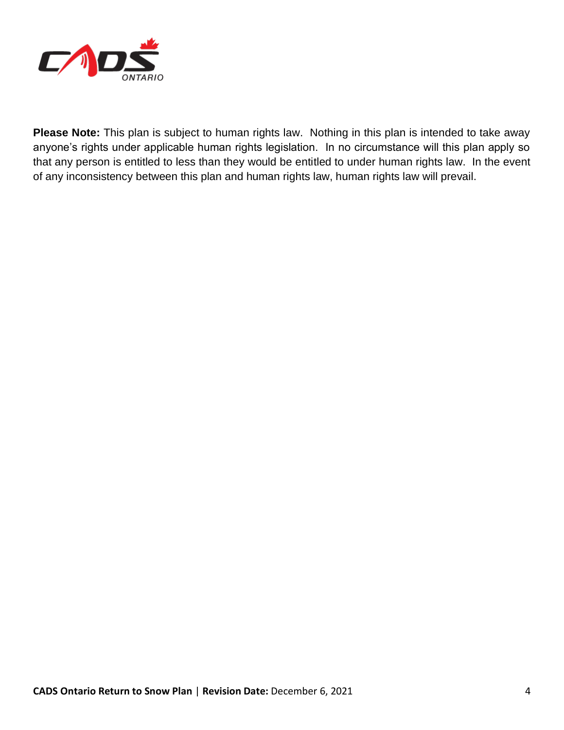

**Please Note:** This plan is subject to human rights law. Nothing in this plan is intended to take away anyone's rights under applicable human rights legislation. In no circumstance will this plan apply so that any person is entitled to less than they would be entitled to under human rights law. In the event of any inconsistency between this plan and human rights law, human rights law will prevail.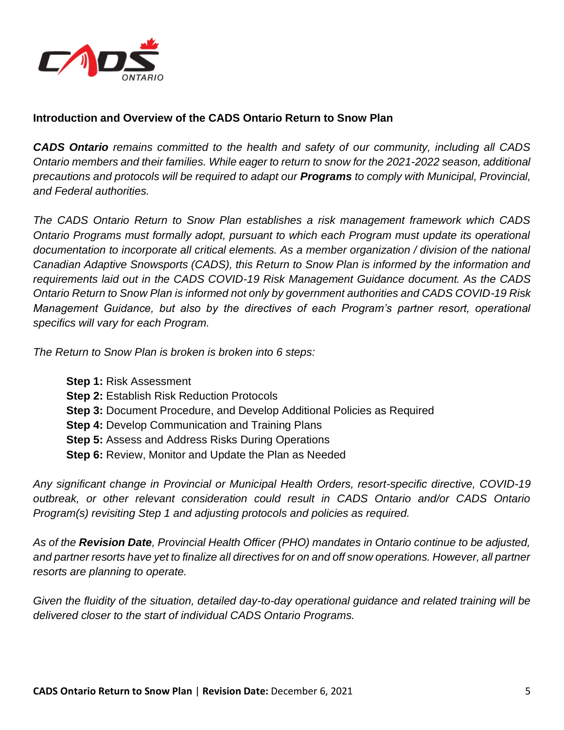

## **Introduction and Overview of the CADS Ontario Return to Snow Plan**

*CADS Ontario remains committed to the health and safety of our community, including all CADS Ontario members and their families. While eager to return to snow for the 2021-2022 season, additional precautions and protocols will be required to adapt our Programs to comply with Municipal, Provincial, and Federal authorities.*

*The CADS Ontario Return to Snow Plan establishes a risk management framework which CADS Ontario Programs must formally adopt, pursuant to which each Program must update its operational documentation to incorporate all critical elements. As a member organization / division of the national Canadian Adaptive Snowsports (CADS), this Return to Snow Plan is informed by the information and requirements laid out in the CADS COVID-19 Risk Management Guidance document. As the CADS Ontario Return to Snow Plan is informed not only by government authorities and CADS COVID-19 Risk Management Guidance, but also by the directives of each Program's partner resort, operational specifics will vary for each Program.*

*The Return to Snow Plan is broken is broken into 6 steps:*

**Step 1:** Risk Assessment **Step 2:** Establish Risk Reduction Protocols **Step 3:** Document Procedure, and Develop Additional Policies as Required **Step 4:** Develop Communication and Training Plans **Step 5:** Assess and Address Risks During Operations **Step 6:** Review, Monitor and Update the Plan as Needed

*Any significant change in Provincial or Municipal Health Orders, resort-specific directive, COVID-19 outbreak, or other relevant consideration could result in CADS Ontario and/or CADS Ontario Program(s) revisiting Step 1 and adjusting protocols and policies as required.*

*As of the Revision Date, Provincial Health Officer (PHO) mandates in Ontario continue to be adjusted, and partner resorts have yet to finalize all directives for on and off snow operations. However, all partner resorts are planning to operate.*

*Given the fluidity of the situation, detailed day-to-day operational guidance and related training will be delivered closer to the start of individual CADS Ontario Programs.*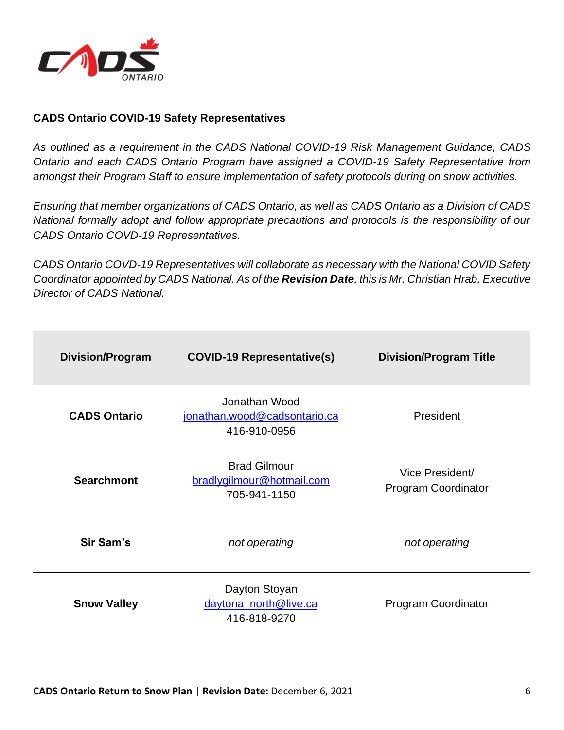

#### **CADS Ontario COVID-19 Safety Representatives**

*As outlined as a requirement in the CADS National COVID-19 Risk Management Guidance, CADS Ontario and each CADS Ontario Program have assigned a COVID-19 Safety Representative from amongst their Program Staff to ensure implementation of safety protocols during on snow activities.* 

*Ensuring that member organizations of CADS Ontario, as well as CADS Ontario as a Division of CADS National formally adopt and follow appropriate precautions and protocols is the responsibility of our CADS Ontario COVD-19 Representatives.*

*CADS Ontario COVD-19 Representatives will collaborate as necessary with the National COVID Safety Coordinator appointed by CADS National. As of the Revision Date, this is Mr. Christian Hrab, Executive Director of CADS National.*

| <b>Division/Program</b> | <b>COVID-19 Representative(s)</b>                                | <b>Division/Program Title</b>          |
|-------------------------|------------------------------------------------------------------|----------------------------------------|
| <b>CADS Ontario</b>     | Jonathan Wood<br>jonathan.wood@cadsontario.ca<br>416-910-0956    | President                              |
| <b>Searchmont</b>       | <b>Brad Gilmour</b><br>bradlygilmour@hotmail.com<br>705-941-1150 | Vice President/<br>Program Coordinator |
| Sir Sam's               | not operating                                                    | not operating                          |
| <b>Snow Valley</b>      | Dayton Stoyan<br>daytona_north@live.ca<br>416-818-9270           | Program Coordinator                    |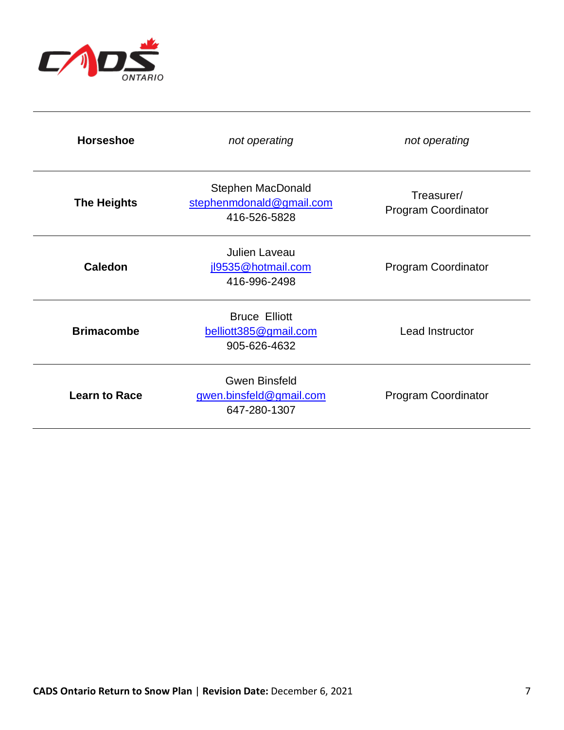

| <b>Horseshoe</b>     | not operating                                                        | not operating                            |  |
|----------------------|----------------------------------------------------------------------|------------------------------------------|--|
| <b>The Heights</b>   | <b>Stephen MacDonald</b><br>stephenmdonald@gmail.com<br>416-526-5828 | Treasurer/<br><b>Program Coordinator</b> |  |
| <b>Caledon</b>       | <b>Julien Laveau</b><br>jl9535@hotmail.com<br>416-996-2498           | <b>Program Coordinator</b>               |  |
| <b>Brimacombe</b>    | <b>Bruce Elliott</b><br>belliott385@gmail.com<br>905-626-4632        | Lead Instructor                          |  |
| <b>Learn to Race</b> | <b>Gwen Binsfeld</b><br>gwen.binsfeld@gmail.com<br>647-280-1307      | <b>Program Coordinator</b>               |  |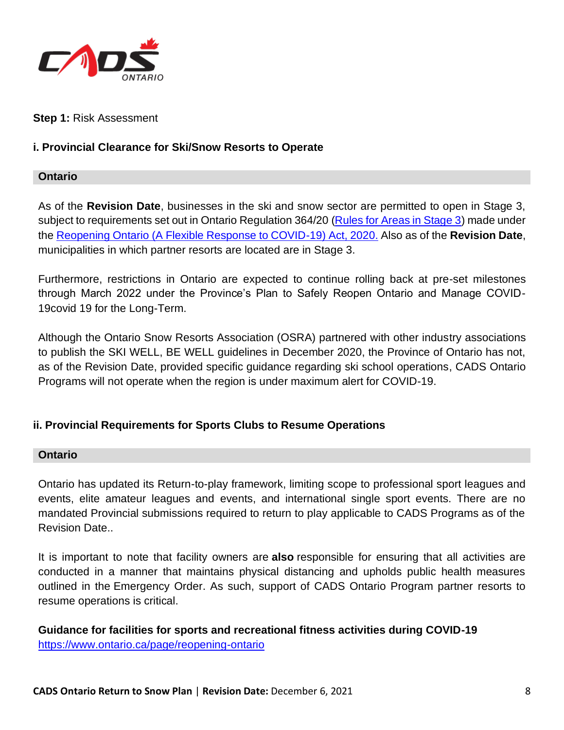

#### **Step 1:** Risk Assessment

#### **i. Provincial Clearance for Ski/Snow Resorts to Operate**

#### **Ontario**

As of the **Revision Date**, businesses in the ski and snow sector are permitted to open in Stage 3, subject to requirements set out in Ontario Regulation 364/20 [\(Rules for Areas in Stage 3\)](https://www.ontario.ca/laws/regulation/200364) made under the [Reopening Ontario \(A Flexible Response to COVID-19\) Act, 2020.](https://www.ontario.ca/laws/statute/20r17) Also as of the **Revision Date**, municipalities in which partner resorts are located are in Stage 3.

Furthermore, restrictions in Ontario are expected to continue rolling back at pre-set milestones through March 2022 under the Province's Plan to Safely Reopen Ontario and Manage COVID-19covid 19 for the Long-Term.

Although the Ontario Snow Resorts Association (OSRA) partnered with other industry associations to publish the SKI WELL, BE WELL guidelines in December 2020, the Province of Ontario has not, as of the Revision Date, provided specific guidance regarding ski school operations, CADS Ontario Programs will not operate when the region is under maximum alert for COVID-19.

#### **ii. Provincial Requirements for Sports Clubs to Resume Operations**

#### **Ontario**

Ontario has updated its Return-to-play framework, limiting scope to professional sport leagues and events, elite amateur leagues and events, and international single sport events. There are no mandated Provincial submissions required to return to play applicable to CADS Programs as of the Revision Date..

It is important to note that facility owners are **also** responsible for ensuring that all activities are conducted in a manner that maintains physical distancing and upholds public health measures outlined in the [Emergency Order.](https://www.ontario.ca/laws/regulation/r20324) As such, support of CADS Ontario Program partner resorts to resume operations is critical.

**Guidance for facilities for sports and recreational fitness activities during COVID-19** <https://www.ontario.ca/page/reopening-ontario>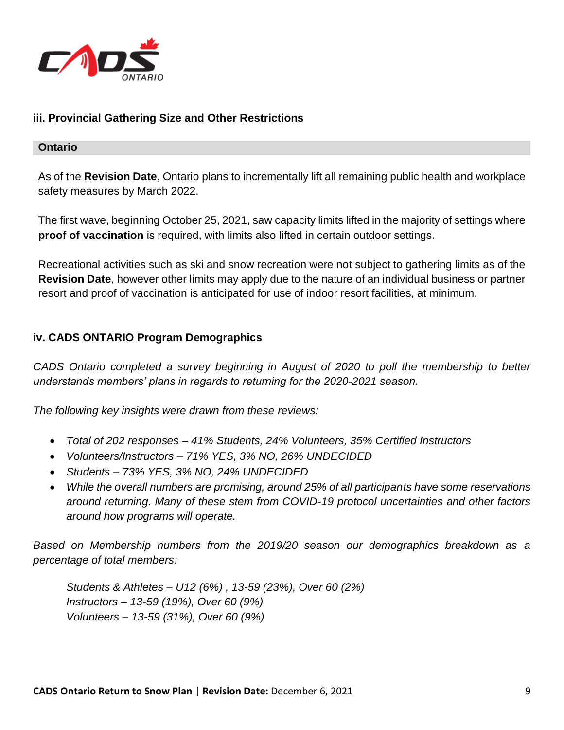

## **iii. Provincial Gathering Size and Other Restrictions**

#### **Ontario**

As of the **Revision Date**, Ontario plans to incrementally lift all remaining public health and workplace safety measures by March 2022.

The first wave, beginning October 25, 2021, saw capacity limits lifted in the majority of settings where **proof of vaccination** is required, with limits also lifted in certain outdoor settings.

Recreational activities such as ski and snow recreation were not subject to gathering limits as of the **Revision Date**, however other limits may apply due to the nature of an individual business or partner resort and proof of vaccination is anticipated for use of indoor resort facilities, at minimum.

#### **iv. CADS ONTARIO Program Demographics**

*CADS Ontario completed a survey beginning in August of 2020 to poll the membership to better understands members' plans in regards to returning for the 2020-2021 season.*

*The following key insights were drawn from these reviews:*

- *Total of 202 responses – 41% Students, 24% Volunteers, 35% Certified Instructors*
- *Volunteers/Instructors – 71% YES, 3% NO, 26% UNDECIDED*
- *Students – 73% YES, 3% NO, 24% UNDECIDED*
- *While the overall numbers are promising, around 25% of all participants have some reservations around returning. Many of these stem from COVID-19 protocol uncertainties and other factors around how programs will operate.*

*Based on Membership numbers from the 2019/20 season our demographics breakdown as a percentage of total members:*

*Students & Athletes – U12 (6%) , 13-59 (23%), Over 60 (2%) Instructors – 13-59 (19%), Over 60 (9%) Volunteers – 13-59 (31%), Over 60 (9%)*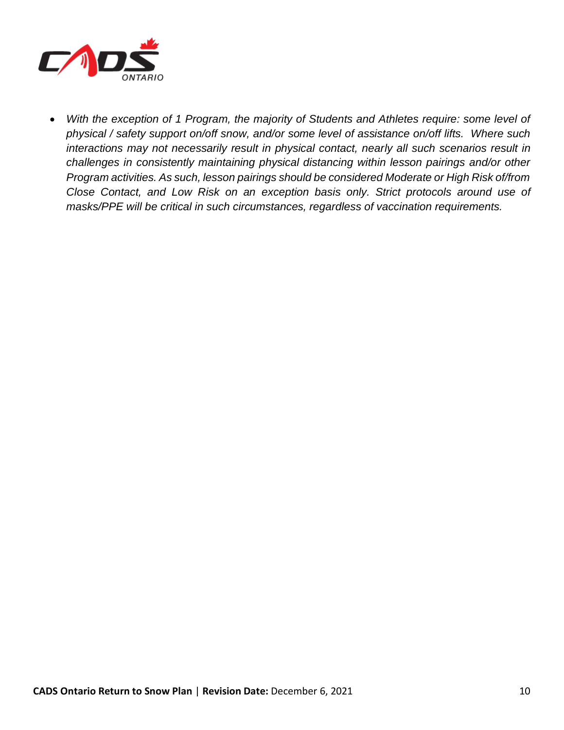

• *With the exception of 1 Program, the majority of Students and Athletes require: some level of physical / safety support on/off snow, and/or some level of assistance on/off lifts. Where such interactions may not necessarily result in physical contact, nearly all such scenarios result in challenges in consistently maintaining physical distancing within lesson pairings and/or other Program activities. As such, lesson pairings should be considered Moderate or High Risk of/from Close Contact, and Low Risk on an exception basis only. Strict protocols around use of masks/PPE will be critical in such circumstances, regardless of vaccination requirements.*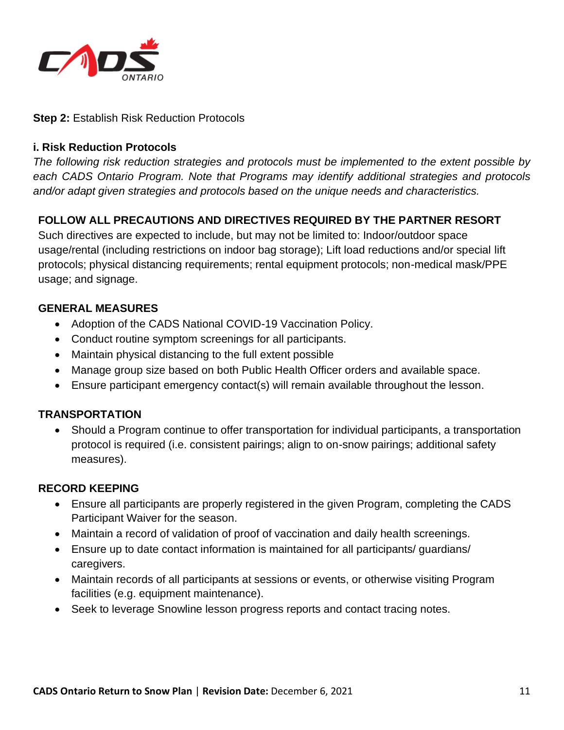

#### **Step 2:** Establish Risk Reduction Protocols

#### **i. Risk Reduction Protocols**

*The following risk reduction strategies and protocols must be implemented to the extent possible by each CADS Ontario Program. Note that Programs may identify additional strategies and protocols and/or adapt given strategies and protocols based on the unique needs and characteristics.*

# **FOLLOW ALL PRECAUTIONS AND DIRECTIVES REQUIRED BY THE PARTNER RESORT**

Such directives are expected to include, but may not be limited to: Indoor/outdoor space usage/rental (including restrictions on indoor bag storage); Lift load reductions and/or special lift protocols; physical distancing requirements; rental equipment protocols; non-medical mask/PPE usage; and signage.

## **GENERAL MEASURES**

- Adoption of the CADS National COVID-19 Vaccination Policy.
- Conduct routine symptom screenings for all participants.
- Maintain physical distancing to the full extent possible
- Manage group size based on both Public Health Officer orders and available space.
- Ensure participant emergency contact(s) will remain available throughout the lesson.

## **TRANSPORTATION**

• Should a Program continue to offer transportation for individual participants, a transportation protocol is required (i.e. consistent pairings; align to on-snow pairings; additional safety measures).

#### **RECORD KEEPING**

- Ensure all participants are properly registered in the given Program, completing the CADS Participant Waiver for the season.
- Maintain a record of validation of proof of vaccination and daily health screenings.
- Ensure up to date contact information is maintained for all participants/ guardians/ caregivers.
- Maintain records of all participants at sessions or events, or otherwise visiting Program facilities (e.g. equipment maintenance).
- Seek to leverage Snowline lesson progress reports and contact tracing notes.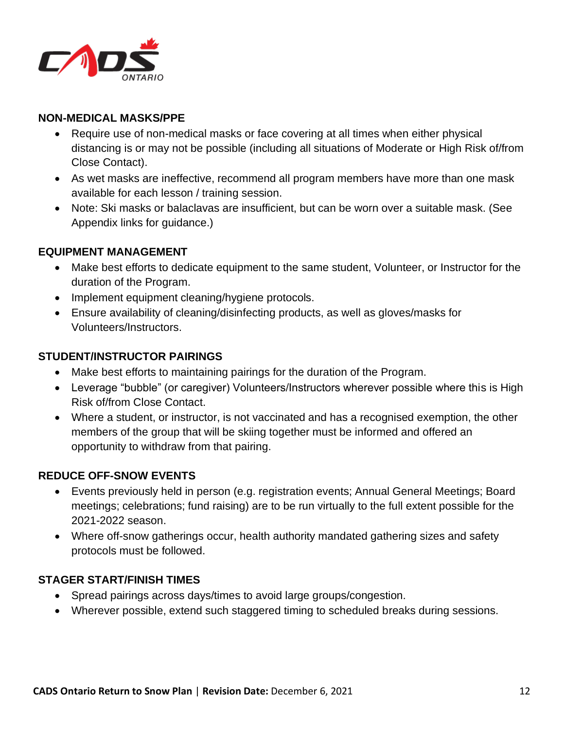

## **NON-MEDICAL MASKS/PPE**

- Require use of non-medical masks or face covering at all times when either physical distancing is or may not be possible (including all situations of Moderate or High Risk of/from Close Contact).
- As wet masks are ineffective, recommend all program members have more than one mask available for each lesson / training session.
- Note: Ski masks or balaclavas are insufficient, but can be worn over a suitable mask. (See Appendix links for guidance.)

#### **EQUIPMENT MANAGEMENT**

- Make best efforts to dedicate equipment to the same student, Volunteer, or Instructor for the duration of the Program.
- Implement equipment cleaning/hygiene protocols.
- Ensure availability of cleaning/disinfecting products, as well as gloves/masks for Volunteers/Instructors.

#### **STUDENT/INSTRUCTOR PAIRINGS**

- Make best efforts to maintaining pairings for the duration of the Program.
- Leverage "bubble" (or caregiver) Volunteers/Instructors wherever possible where this is High Risk of/from Close Contact.
- Where a student, or instructor, is not vaccinated and has a recognised exemption, the other members of the group that will be skiing together must be informed and offered an opportunity to withdraw from that pairing.

#### **REDUCE OFF-SNOW EVENTS**

- Events previously held in person (e.g. registration events; Annual General Meetings; Board meetings; celebrations; fund raising) are to be run virtually to the full extent possible for the 2021-2022 season.
- Where off-snow gatherings occur, health authority mandated gathering sizes and safety protocols must be followed.

#### **STAGER START/FINISH TIMES**

- Spread pairings across days/times to avoid large groups/congestion.
- Wherever possible, extend such staggered timing to scheduled breaks during sessions.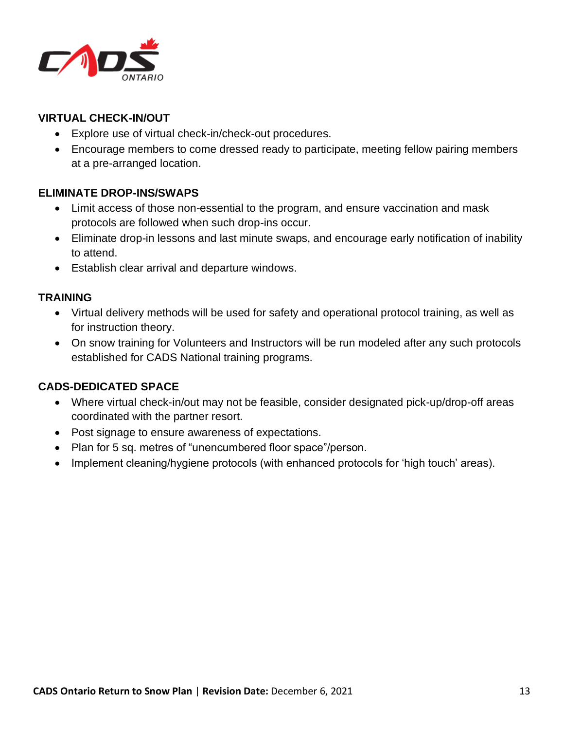

# **VIRTUAL CHECK-IN/OUT**

- Explore use of virtual check-in/check-out procedures.
- Encourage members to come dressed ready to participate, meeting fellow pairing members at a pre-arranged location.

## **ELIMINATE DROP-INS/SWAPS**

- Limit access of those non-essential to the program, and ensure vaccination and mask protocols are followed when such drop-ins occur.
- Eliminate drop-in lessons and last minute swaps, and encourage early notification of inability to attend.
- Establish clear arrival and departure windows.

#### **TRAINING**

- Virtual delivery methods will be used for safety and operational protocol training, as well as for instruction theory.
- On snow training for Volunteers and Instructors will be run modeled after any such protocols established for CADS National training programs.

## **CADS-DEDICATED SPACE**

- Where virtual check-in/out may not be feasible, consider designated pick-up/drop-off areas coordinated with the partner resort.
- Post signage to ensure awareness of expectations.
- Plan for 5 sq. metres of "unencumbered floor space"/person.
- Implement cleaning/hygiene protocols (with enhanced protocols for 'high touch' areas).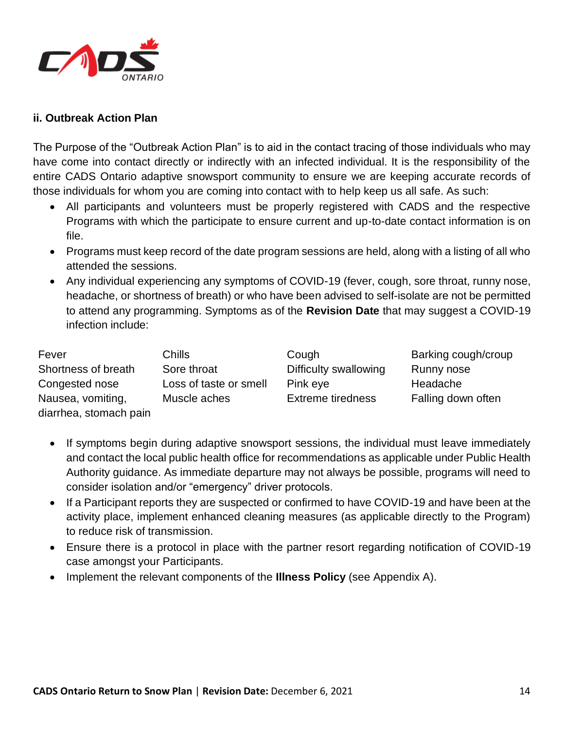

#### **ii. Outbreak Action Plan**

The Purpose of the "Outbreak Action Plan" is to aid in the contact tracing of those individuals who may have come into contact directly or indirectly with an infected individual. It is the responsibility of the entire CADS Ontario adaptive snowsport community to ensure we are keeping accurate records of those individuals for whom you are coming into contact with to help keep us all safe. As such:

- All participants and volunteers must be properly registered with CADS and the respective Programs with which the participate to ensure current and up-to-date contact information is on file.
- Programs must keep record of the date program sessions are held, along with a listing of all who attended the sessions.
- Any individual experiencing any symptoms of COVID-19 (fever, cough, sore throat, runny nose, headache, or shortness of breath) or who have been advised to self-isolate are not be permitted to attend any programming. Symptoms as of the **Revision Date** that may suggest a COVID-19 infection include:

| Fever                  | Chills                 | Cough                    | Barking cough/croup |
|------------------------|------------------------|--------------------------|---------------------|
| Shortness of breath    | Sore throat            | Difficulty swallowing    | Runny nose          |
| Congested nose         | Loss of taste or smell | Pink eye                 | Headache            |
| Nausea, vomiting,      | Muscle aches           | <b>Extreme tiredness</b> | Falling down often  |
| diarrhea, stomach pain |                        |                          |                     |

- If symptoms begin during adaptive snowsport sessions, the individual must leave immediately and contact the local public health office for recommendations as applicable under Public Health Authority guidance. As immediate departure may not always be possible, programs will need to consider isolation and/or "emergency" driver protocols.
- If a Participant reports they are suspected or confirmed to have COVID-19 and have been at the activity place, implement enhanced cleaning measures (as applicable directly to the Program) to reduce risk of transmission.
- Ensure there is a protocol in place with the partner resort regarding notification of COVID-19 case amongst your Participants.
- Implement the relevant components of the **Illness Policy** (see Appendix A).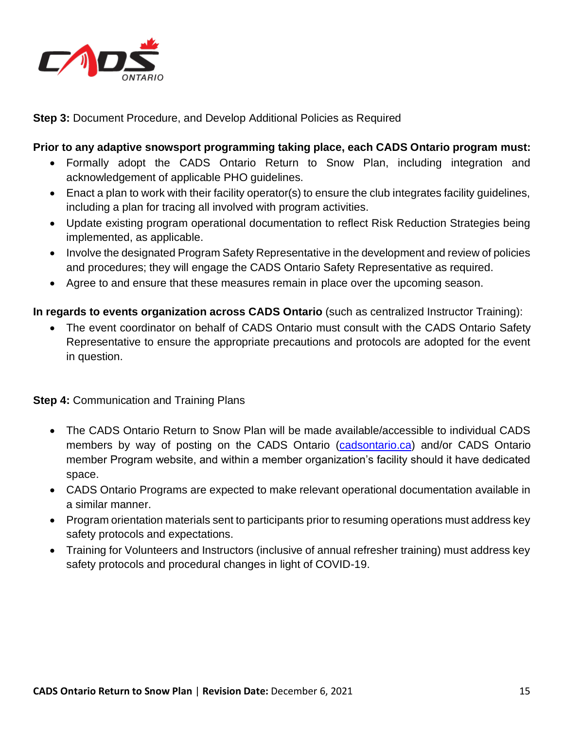

**Step 3:** Document Procedure, and Develop Additional Policies as Required

#### **Prior to any adaptive snowsport programming taking place, each CADS Ontario program must:**

- Formally adopt the CADS Ontario Return to Snow Plan, including integration and acknowledgement of applicable PHO guidelines.
- Enact a plan to work with their facility operator(s) to ensure the club integrates facility guidelines, including a plan for tracing all involved with program activities.
- Update existing program operational documentation to reflect Risk Reduction Strategies being implemented, as applicable.
- Involve the designated Program Safety Representative in the development and review of policies and procedures; they will engage the CADS Ontario Safety Representative as required.
- Agree to and ensure that these measures remain in place over the upcoming season.

**In regards to events organization across CADS Ontario** (such as centralized Instructor Training):

• The event coordinator on behalf of CADS Ontario must consult with the CADS Ontario Safety Representative to ensure the appropriate precautions and protocols are adopted for the event in question.

**Step 4:** Communication and Training Plans

- The CADS Ontario Return to Snow Plan will be made available/accessible to individual CADS members by way of posting on the CADS Ontario [\(cadsontario.ca\)](/Users/MXM_i7/Google%20Drive/CADS%20-%20Ontario/COVID-19/cadsontario.ca) and/or CADS Ontario member Program website, and within a member organization's facility should it have dedicated space.
- CADS Ontario Programs are expected to make relevant operational documentation available in a similar manner.
- Program orientation materials sent to participants prior to resuming operations must address key safety protocols and expectations.
- Training for Volunteers and Instructors (inclusive of annual refresher training) must address key safety protocols and procedural changes in light of COVID-19.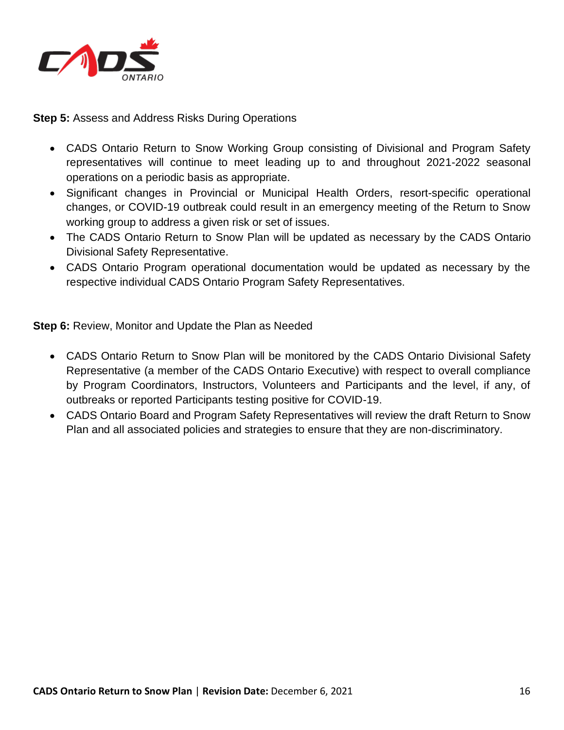

**Step 5:** Assess and Address Risks During Operations

- CADS Ontario Return to Snow Working Group consisting of Divisional and Program Safety representatives will continue to meet leading up to and throughout 2021-2022 seasonal operations on a periodic basis as appropriate.
- Significant changes in Provincial or Municipal Health Orders, resort-specific operational changes, or COVID-19 outbreak could result in an emergency meeting of the Return to Snow working group to address a given risk or set of issues.
- The CADS Ontario Return to Snow Plan will be updated as necessary by the CADS Ontario Divisional Safety Representative.
- CADS Ontario Program operational documentation would be updated as necessary by the respective individual CADS Ontario Program Safety Representatives.

**Step 6:** Review, Monitor and Update the Plan as Needed

- CADS Ontario Return to Snow Plan will be monitored by the CADS Ontario Divisional Safety Representative (a member of the CADS Ontario Executive) with respect to overall compliance by Program Coordinators, Instructors, Volunteers and Participants and the level, if any, of outbreaks or reported Participants testing positive for COVID-19.
- CADS Ontario Board and Program Safety Representatives will review the draft Return to Snow Plan and all associated policies and strategies to ensure that they are non-discriminatory.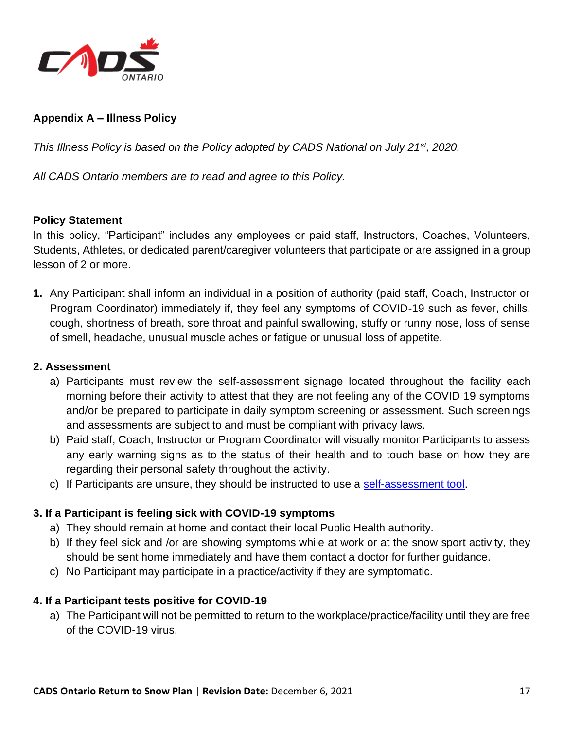

# **Appendix A – Illness Policy**

*This Illness Policy is based on the Policy adopted by CADS National on July 21st, 2020.*

*All CADS Ontario members are to read and agree to this Policy.*

#### **Policy Statement**

In this policy, "Participant" includes any employees or paid staff, Instructors, Coaches, Volunteers, Students, Athletes, or dedicated parent/caregiver volunteers that participate or are assigned in a group lesson of 2 or more.

**1.** Any Participant shall inform an individual in a position of authority (paid staff, Coach, Instructor or Program Coordinator) immediately if, they feel any symptoms of COVID-19 such as fever, chills, cough, shortness of breath, sore throat and painful swallowing, stuffy or runny nose, loss of sense of smell, headache, unusual muscle aches or fatigue or unusual loss of appetite.

#### **2. Assessment**

- a) Participants must review the self-assessment signage located throughout the facility each morning before their activity to attest that they are not feeling any of the COVID 19 symptoms and/or be prepared to participate in daily symptom screening or assessment. Such screenings and assessments are subject to and must be compliant with privacy laws.
- b) Paid staff, Coach, Instructor or Program Coordinator will visually monitor Participants to assess any early warning signs as to the status of their health and to touch base on how they are regarding their personal safety throughout the activity.
- c) If Participants are unsure, they should be instructed to use a [self-assessment tool.](https://covid-19.ontario.ca/self-assessment/severe-symptoms)

## **3. If a Participant is feeling sick with COVID-19 symptoms**

- a) They should remain at home and contact their local Public Health authority.
- b) If they feel sick and /or are showing symptoms while at work or at the snow sport activity, they should be sent home immediately and have them contact a doctor for further guidance.
- c) No Participant may participate in a practice/activity if they are symptomatic.

#### **4. If a Participant tests positive for COVID-19**

a) The Participant will not be permitted to return to the workplace/practice/facility until they are free of the COVID-19 virus.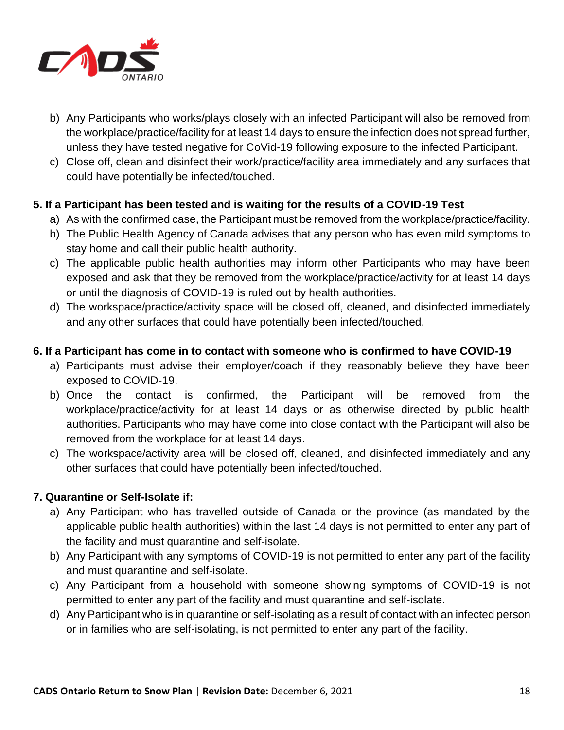

- b) Any Participants who works/plays closely with an infected Participant will also be removed from the workplace/practice/facility for at least 14 days to ensure the infection does not spread further, unless they have tested negative for CoVid-19 following exposure to the infected Participant.
- c) Close off, clean and disinfect their work/practice/facility area immediately and any surfaces that could have potentially be infected/touched.

## **5. If a Participant has been tested and is waiting for the results of a COVID-19 Test**

- a) As with the confirmed case, the Participant must be removed from the workplace/practice/facility.
- b) The Public Health Agency of Canada advises that any person who has even mild symptoms to stay home and call their public health authority.
- c) The applicable public health authorities may inform other Participants who may have been exposed and ask that they be removed from the workplace/practice/activity for at least 14 days or until the diagnosis of COVID-19 is ruled out by health authorities.
- d) The workspace/practice/activity space will be closed off, cleaned, and disinfected immediately and any other surfaces that could have potentially been infected/touched.

#### **6. If a Participant has come in to contact with someone who is confirmed to have COVID-19**

- a) Participants must advise their employer/coach if they reasonably believe they have been exposed to COVID-19.
- b) Once the contact is confirmed, the Participant will be removed from the workplace/practice/activity for at least 14 days or as otherwise directed by public health authorities. Participants who may have come into close contact with the Participant will also be removed from the workplace for at least 14 days.
- c) The workspace/activity area will be closed off, cleaned, and disinfected immediately and any other surfaces that could have potentially been infected/touched.

## **7. Quarantine or Self-Isolate if:**

- a) Any Participant who has travelled outside of Canada or the province (as mandated by the applicable public health authorities) within the last 14 days is not permitted to enter any part of the facility and must quarantine and self-isolate.
- b) Any Participant with any symptoms of COVID-19 is not permitted to enter any part of the facility and must quarantine and self-isolate.
- c) Any Participant from a household with someone showing symptoms of COVID-19 is not permitted to enter any part of the facility and must quarantine and self-isolate.
- d) Any Participant who is in quarantine or self-isolating as a result of contact with an infected person or in families who are self-isolating, is not permitted to enter any part of the facility.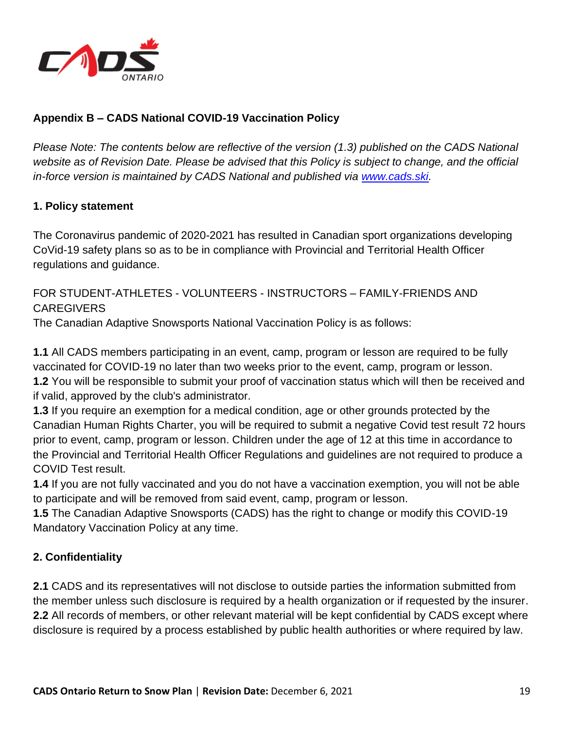

# **Appendix B – CADS National COVID-19 Vaccination Policy**

*Please Note: The contents below are reflective of the version (1.3) published on the CADS National website as of Revision Date. Please be advised that this Policy is subject to change, and the official in-force version is maintained by CADS National and published via [www.cads.ski.](http://www.cads.ski/)* 

## **1. Policy statement**

The Coronavirus pandemic of 2020-2021 has resulted in Canadian sport organizations developing CoVid-19 safety plans so as to be in compliance with Provincial and Territorial Health Officer regulations and guidance.

FOR STUDENT-ATHLETES - VOLUNTEERS - INSTRUCTORS – FAMILY-FRIENDS AND CAREGIVERS

The Canadian Adaptive Snowsports National Vaccination Policy is as follows:

**1.1** All CADS members participating in an event, camp, program or lesson are required to be fully vaccinated for COVID-19 no later than two weeks prior to the event, camp, program or lesson. **1.2** You will be responsible to submit your proof of vaccination status which will then be received and if valid, approved by the club's administrator.

**1.3** If you require an exemption for a medical condition, age or other grounds protected by the Canadian Human Rights Charter, you will be required to submit a negative Covid test result 72 hours prior to event, camp, program or lesson. Children under the age of 12 at this time in accordance to the Provincial and Territorial Health Officer Regulations and guidelines are not required to produce a COVID Test result.

**1.4** If you are not fully vaccinated and you do not have a vaccination exemption, you will not be able to participate and will be removed from said event, camp, program or lesson.

**1.5** The Canadian Adaptive Snowsports (CADS) has the right to change or modify this COVID-19 Mandatory Vaccination Policy at any time.

## **2. Confidentiality**

**2.1** CADS and its representatives will not disclose to outside parties the information submitted from the member unless such disclosure is required by a health organization or if requested by the insurer. **2.2** All records of members, or other relevant material will be kept confidential by CADS except where disclosure is required by a process established by public health authorities or where required by law.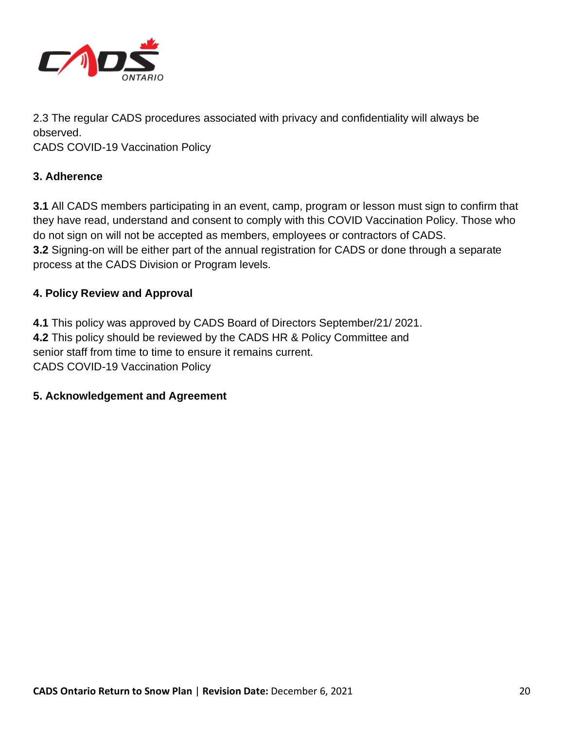

2.3 The regular CADS procedures associated with privacy and confidentiality will always be observed.

CADS COVID-19 Vaccination Policy

## **3. Adherence**

**3.1** All CADS members participating in an event, camp, program or lesson must sign to confirm that they have read, understand and consent to comply with this COVID Vaccination Policy. Those who do not sign on will not be accepted as members, employees or contractors of CADS. **3.2** Signing-on will be either part of the annual registration for CADS or done through a separate process at the CADS Division or Program levels.

## **4. Policy Review and Approval**

**4.1** This policy was approved by CADS Board of Directors September/21/ 2021. **4.2** This policy should be reviewed by the CADS HR & Policy Committee and senior staff from time to time to ensure it remains current. CADS COVID-19 Vaccination Policy

## **5. Acknowledgement and Agreement**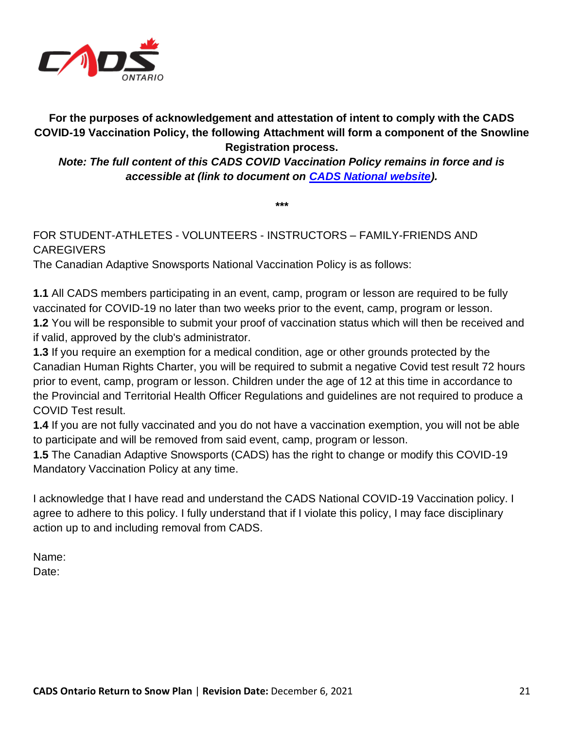

**For the purposes of acknowledgement and attestation of intent to comply with the CADS COVID-19 Vaccination Policy, the following Attachment will form a component of the Snowline Registration process.**

*Note: The full content of this CADS COVID Vaccination Policy remains in force and is accessible at (link to document on [CADS National website\)](http://www.cads.ski/).*

**\*\*\***

# FOR STUDENT-ATHLETES - VOLUNTEERS - INSTRUCTORS – FAMILY-FRIENDS AND **CAREGIVERS**

The Canadian Adaptive Snowsports National Vaccination Policy is as follows:

**1.1** All CADS members participating in an event, camp, program or lesson are required to be fully vaccinated for COVID-19 no later than two weeks prior to the event, camp, program or lesson. **1.2** You will be responsible to submit your proof of vaccination status which will then be received and if valid, approved by the club's administrator.

**1.3** If you require an exemption for a medical condition, age or other grounds protected by the Canadian Human Rights Charter, you will be required to submit a negative Covid test result 72 hours prior to event, camp, program or lesson. Children under the age of 12 at this time in accordance to the Provincial and Territorial Health Officer Regulations and guidelines are not required to produce a COVID Test result.

**1.4** If you are not fully vaccinated and you do not have a vaccination exemption, you will not be able to participate and will be removed from said event, camp, program or lesson.

**1.5** The Canadian Adaptive Snowsports (CADS) has the right to change or modify this COVID-19 Mandatory Vaccination Policy at any time.

I acknowledge that I have read and understand the CADS National COVID-19 Vaccination policy. I agree to adhere to this policy. I fully understand that if I violate this policy, I may face disciplinary action up to and including removal from CADS.

Name: Date: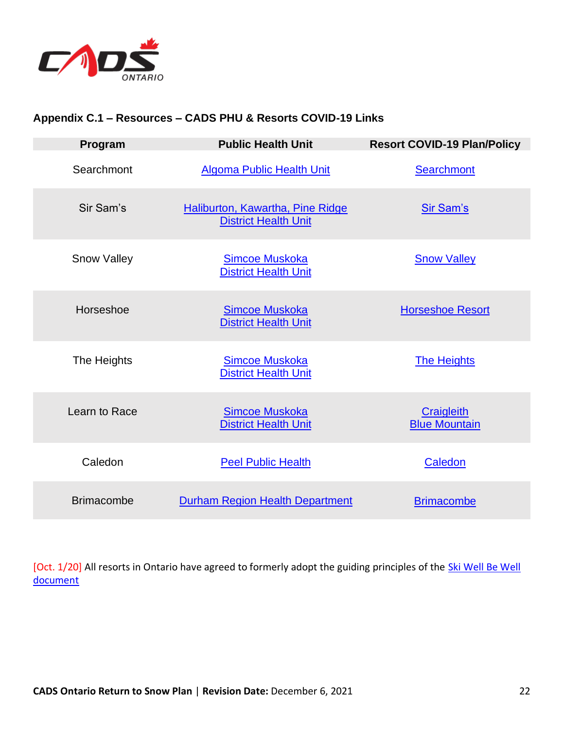

## **Appendix C.1 – Resources – CADS PHU & Resorts COVID-19 Links**

| Program            | <b>Public Health Unit</b>                                              | <b>Resort COVID-19 Plan/Policy</b>        |
|--------------------|------------------------------------------------------------------------|-------------------------------------------|
| Searchmont         | <b>Algoma Public Health Unit</b>                                       | Searchmont                                |
| Sir Sam's          | <b>Haliburton, Kawartha, Pine Ridge</b><br><b>District Health Unit</b> | <b>Sir Sam's</b>                          |
| <b>Snow Valley</b> | <b>Simcoe Muskoka</b><br><b>District Health Unit</b>                   | <b>Snow Valley</b>                        |
| Horseshoe          | <b>Simcoe Muskoka</b><br><b>District Health Unit</b>                   | <b>Horseshoe Resort</b>                   |
| The Heights        | <b>Simcoe Muskoka</b><br><b>District Health Unit</b>                   | <b>The Heights</b>                        |
| Learn to Race      | <b>Simcoe Muskoka</b><br><b>District Health Unit</b>                   | <b>Craigleith</b><br><b>Blue Mountain</b> |
| Caledon            | <b>Peel Public Health</b>                                              | Caledon                                   |
| <b>Brimacombe</b>  | <b>Durham Region Health Department</b>                                 | <b>Brimacombe</b>                         |

[Oct. 1/20] All resorts in Ontario have agreed to formerly adopt the guiding principles of the Ski Well Be Well [document](https://www.skiontario.ca/osra/doc/SkiWellBeWell-2020-CDN.pdf)